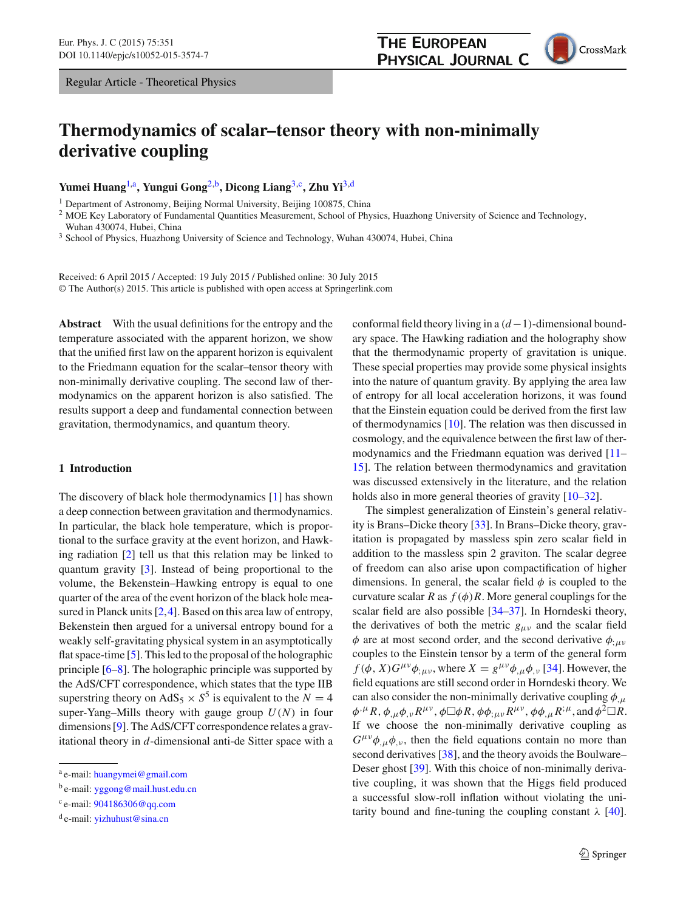# **THE EUROPEAN PHYSICAL JOURNAL C**

CrossMark

# **Thermodynamics of scalar–tensor theory with non-minimally derivative coupling**

**Yumei Huang**[1,](#page-0-0)a**, Yungui Gong**[2,](#page-0-0)b**, Dicong Liang**[3,](#page-0-1)c**, Zhu Yi**[3,](#page-0-1)d

<sup>1</sup> Department of Astronomy, Beijing Normal University, Beijing 100875, China

<sup>2</sup> MOE Key Laboratory of Fundamental Quantities Measurement, School of Physics, Huazhong University of Science and Technology, Wuhan 430074, Hubei, China

<span id="page-0-1"></span><sup>3</sup> School of Physics, Huazhong University of Science and Technology, Wuhan 430074, Hubei, China

Received: 6 April 2015 / Accepted: 19 July 2015 / Published online: 30 July 2015 © The Author(s) 2015. This article is published with open access at Springerlink.com

**Abstract** With the usual definitions for the entropy and the temperature associated with the apparent horizon, we show that the unified first law on the apparent horizon is equivalent to the Friedmann equation for the scalar–tensor theory with non-minimally derivative coupling. The second law of thermodynamics on the apparent horizon is also satisfied. The results support a deep and fundamental connection between gravitation, thermodynamics, and quantum theory.

#### **1 Introduction**

The discovery of black hole thermodynamics [\[1\]](#page-3-0) has shown a deep connection between gravitation and thermodynamics. In particular, the black hole temperature, which is proportional to the surface gravity at the event horizon, and Hawking radiation [\[2](#page-3-1)] tell us that this relation may be linked to quantum gravity [\[3](#page-3-2)]. Instead of being proportional to the volume, the Bekenstein–Hawking entropy is equal to one quarter of the area of the event horizon of the black hole measured in Planck units [\[2](#page-3-1),[4\]](#page-3-3). Based on this area law of entropy, Bekenstein then argued for a universal entropy bound for a weakly self-gravitating physical system in an asymptotically flat space-time [\[5](#page-3-4)]. This led to the proposal of the holographic principle [\[6](#page-3-5)[–8\]](#page-3-6). The holographic principle was supported by the AdS/CFT correspondence, which states that the type IIB superstring theory on AdS<sub>5</sub>  $\times$  S<sup>5</sup> is equivalent to the *N* = 4 super-Yang–Mills theory with gauge group  $U(N)$  in four dimensions [\[9](#page-3-7)]. The AdS/CFT correspondence relates a gravitational theory in *d*-dimensional anti-de Sitter space with a <span id="page-0-0"></span>conformal field theory living in a (*d*−1)-dimensional boundary space. The Hawking radiation and the holography show that the thermodynamic property of gravitation is unique. These special properties may provide some physical insights into the nature of quantum gravity. By applying the area law of entropy for all local acceleration horizons, it was found that the Einstein equation could be derived from the first law of thermodynamics [\[10](#page-3-8)]. The relation was then discussed in cosmology, and the equivalence between the first law of thermodynamics and the Friedmann equation was derived [\[11](#page-3-9)– [15](#page-3-10)]. The relation between thermodynamics and gravitation was discussed extensively in the literature, and the relation holds also in more general theories of gravity  $[10-32]$  $[10-32]$ .

The simplest generalization of Einstein's general relativity is Brans–Dicke theory [\[33](#page-3-12)]. In Brans–Dicke theory, gravitation is propagated by massless spin zero scalar field in addition to the massless spin 2 graviton. The scalar degree of freedom can also arise upon compactification of higher dimensions. In general, the scalar field  $\phi$  is coupled to the curvature scalar *R* as  $f(\phi)R$ . More general couplings for the scalar field are also possible [\[34](#page-3-13)[–37\]](#page-4-0). In Horndeski theory, the derivatives of both the metric  $g_{\mu\nu}$  and the scalar field  $\phi$  are at most second order, and the second derivative  $\phi_{\mu\nu}$ couples to the Einstein tensor by a term of the general form  $f(\phi, X)G^{\mu\nu}\phi_{;\mu\nu}$ , where  $X = g^{\mu\nu}\phi_{,\mu}\phi_{,\nu}$  [\[34\]](#page-3-13). However, the field equations are still second order in Horndeski theory. We can also consider the non-minimally derivative coupling  $\phi_{\mu}$  $\phi^{,\mu}R$ ,  $\phi_{,\mu}\phi_{,\nu}R^{\mu\nu}$ ,  $\phi\Box\phi R$ ,  $\phi\phi_{;\mu\nu}R^{\mu\nu}$ ,  $\phi\phi_{,\mu}R^{;\mu}$ , and  $\phi^2\Box R$ . If we choose the non-minimally derivative coupling as  $G^{\mu\nu}\phi_{\mu}\phi_{\nu}$ , then the field equations contain no more than second derivatives [\[38\]](#page-4-1), and the theory avoids the Boulware– Deser ghost [\[39](#page-4-2)]. With this choice of non-minimally derivative coupling, it was shown that the Higgs field produced a successful slow-roll inflation without violating the unitarity bound and fine-tuning the coupling constant  $\lambda$  [\[40](#page-4-3)].

<sup>a</sup> e-mail: [huangymei@gmail.com](mailto:huangymei@gmail.com)

<sup>b</sup> e-mail: [yggong@mail.hust.edu.cn](mailto:yggong@mail.hust.edu.cn)

<sup>c</sup> e-mail: [904186306@qq.com](mailto:904186306@qq.com)

 $d$  e-mail: [yizhuhust@sina.cn](mailto:yizhuhust@sina.cn)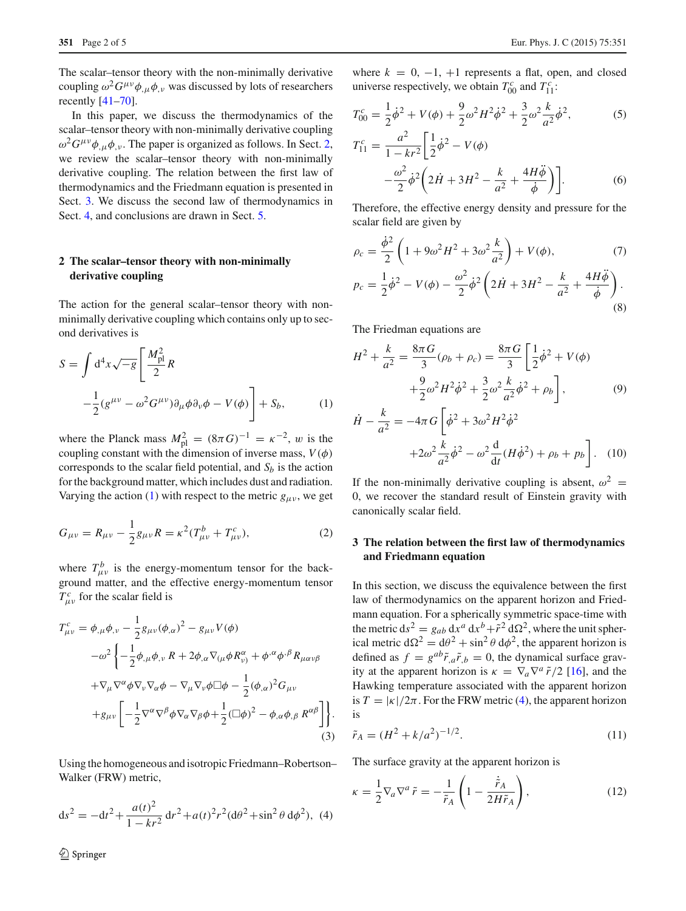The scalar–tensor theory with the non-minimally derivative coupling  $\omega^2 G^{\mu\nu}\phi_{,\mu}\phi_{,\nu}$  was discussed by lots of researchers recently [\[41](#page-4-4)[–70\]](#page-4-5).

In this paper, we discuss the thermodynamics of the scalar–tensor theory with non-minimally derivative coupling  $\omega^2 G^{\mu\nu}\phi_{,\mu}\phi_{,\nu}$ . The paper is organized as follows. In Sect. [2,](#page-1-0) we review the scalar–tensor theory with non-minimally derivative coupling. The relation between the first law of thermodynamics and the Friedmann equation is presented in Sect. [3.](#page-1-1) We discuss the second law of thermodynamics in Sect. [4,](#page-3-14) and conclusions are drawn in Sect. [5.](#page-3-15)

## <span id="page-1-0"></span>**2 The scalar–tensor theory with non-minimally derivative coupling**

The action for the general scalar–tensor theory with nonminimally derivative coupling which contains only up to second derivatives is

<span id="page-1-2"></span>
$$
S = \int d^4x \sqrt{-g} \left[ \frac{M_{\text{pl}}^2}{2} R \right]
$$
  

$$
-\frac{1}{2} (g^{\mu\nu} - \omega^2 G^{\mu\nu}) \partial_\mu \phi \partial_\nu \phi - V(\phi) \right] + S_b,
$$
 (1)

where the Planck mass  $M_{\text{pl}}^2 = (8\pi G)^{-1} = \kappa^{-2}$ , w is the coupling constant with the dimension of inverse mass,  $V(\phi)$ corresponds to the scalar field potential, and  $S_b$  is the action for the background matter, which includes dust and radiation. Varying the action [\(1\)](#page-1-2) with respect to the metric  $g_{\mu\nu}$ , we get

$$
G_{\mu\nu} = R_{\mu\nu} - \frac{1}{2}g_{\mu\nu}R = \kappa^2(T_{\mu\nu}^b + T_{\mu\nu}^c),
$$
 (2)

where  $T_{\mu\nu}^{b}$  is the energy-momentum tensor for the background matter, and the effective energy-momentum tensor  $T_{\mu\nu}^c$  for the scalar field is

$$
T_{\mu\nu}^{c} = \phi_{,\mu}\phi_{,\nu} - \frac{1}{2}g_{\mu\nu}(\phi_{,\alpha})^{2} - g_{\mu\nu}V(\phi)
$$
  

$$
-\omega^{2}\left\{-\frac{1}{2}\phi_{,\mu}\phi_{,\nu} R + 2\phi_{,\alpha}\nabla_{(\mu}\phi R_{\nu)}^{\alpha} + \phi^{,\alpha}\phi^{,\beta}R_{\mu\alpha\nu\beta}\right\}
$$

$$
+\nabla_{\mu}\nabla^{\alpha}\phi\nabla_{\nu}\nabla_{\alpha}\phi - \nabla_{\mu}\nabla_{\nu}\phi\square\phi - \frac{1}{2}(\phi_{,\alpha})^{2}G_{\mu\nu}
$$

$$
+g_{\mu\nu}\left[-\frac{1}{2}\nabla^{\alpha}\nabla^{\beta}\phi\nabla_{\alpha}\nabla_{\beta}\phi + \frac{1}{2}(\square\phi)^{2} - \phi_{,\alpha}\phi_{,\beta} R^{\alpha\beta}\right]\right\}.
$$
(3)

<span id="page-1-3"></span>Using the homogeneous and isotropic Friedmann–Robertson– Walker (FRW) metric,

$$
ds^{2} = -dt^{2} + \frac{a(t)^{2}}{1 - kr^{2}} dr^{2} + a(t)^{2}r^{2} (d\theta^{2} + \sin^{2}\theta d\phi^{2}),
$$
 (4)

where  $k = 0, -1, +1$  represents a flat, open, and closed universe respectively, we obtain  $T_{00}^c$  and  $T_{11}^c$ :

$$
T_{00}^c = \frac{1}{2}\dot{\phi}^2 + V(\phi) + \frac{9}{2}\omega^2 H^2 \dot{\phi}^2 + \frac{3}{2}\omega^2 \frac{k}{a^2} \dot{\phi}^2,\tag{5}
$$

$$
T_{11}^{c} = \frac{a^{2}}{1 - kr^{2}} \left[ \frac{1}{2} \dot{\phi}^{2} - V(\phi) - \frac{\omega^{2}}{2} \dot{\phi}^{2} \left( 2\dot{H} + 3H^{2} - \frac{k}{a^{2}} + \frac{4H\ddot{\phi}}{\dot{\phi}} \right) \right].
$$
 (6)

Therefore, the effective energy density and pressure for the scalar field are given by

$$
\rho_c = \frac{\dot{\phi}^2}{2} \left( 1 + 9\omega^2 H^2 + 3\omega^2 \frac{k}{a^2} \right) + V(\phi),\tag{7}
$$
\n
$$
p_c = \frac{1}{2} \dot{\phi}^2 - V(\phi) - \frac{\omega^2}{2} \dot{\phi}^2 \left( 2\dot{H} + 3H^2 - \frac{k}{a^2} + \frac{4H\ddot{\phi}}{\dot{\phi}} \right).
$$
\n(8)

The Friedman equations are

<span id="page-1-5"></span>
$$
H^{2} + \frac{k}{a^{2}} = \frac{8\pi G}{3}(\rho_{b} + \rho_{c}) = \frac{8\pi G}{3} \left[ \frac{1}{2}\dot{\phi}^{2} + V(\phi) + \frac{9}{2}\omega^{2}H^{2}\dot{\phi}^{2} + \frac{3}{2}\omega^{2}\frac{k}{a^{2}}\dot{\phi}^{2} + \rho_{b} \right],
$$
 (9)

$$
\dot{H} - \frac{k}{a^2} = -4\pi G \left[ \dot{\phi}^2 + 3\omega^2 H^2 \dot{\phi}^2 + 2\omega^2 \frac{k}{a^2} \dot{\phi}^2 - \omega^2 \frac{d}{dt} (H \dot{\phi}^2) + \rho_b + p_b \right].
$$
 (10)

If the non-minimally derivative coupling is absent,  $\omega^2$  = 0, we recover the standard result of Einstein gravity with canonically scalar field.

### <span id="page-1-1"></span>**3 The relation between the first law of thermodynamics and Friedmann equation**

In this section, we discuss the equivalence between the first law of thermodynamics on the apparent horizon and Friedmann equation. For a spherically symmetric space-time with the metric  $ds^2 = g_{ab} dx^a dx^b + \tilde{r}^2 d\Omega^2$ , where the unit spherical metric  $d\Omega^2 = d\theta^2 + \sin^2 \theta d\phi^2$ , the apparent horizon is defined as  $f = g^{ab}\tilde{r}_{,a}\tilde{r}_{,b} = 0$ , the dynamical surface gravity at the apparent horizon is  $\kappa = \nabla_a \nabla^a \tilde{r}/2$  [\[16](#page-3-16)], and the Hawking temperature associated with the apparent horizon is  $T = |\kappa|/2\pi$ . For the FRW metric [\(4\)](#page-1-3), the apparent horizon is

<span id="page-1-4"></span>
$$
\tilde{r}_A = (H^2 + k/a^2)^{-1/2}.
$$
\n(11)

The surface gravity at the apparent horizon is

$$
\kappa = \frac{1}{2} \nabla_a \nabla^a \tilde{r} = -\frac{1}{\tilde{r}_A} \left( 1 - \frac{\dot{\tilde{r}}_A}{2H\tilde{r}_A} \right),\tag{12}
$$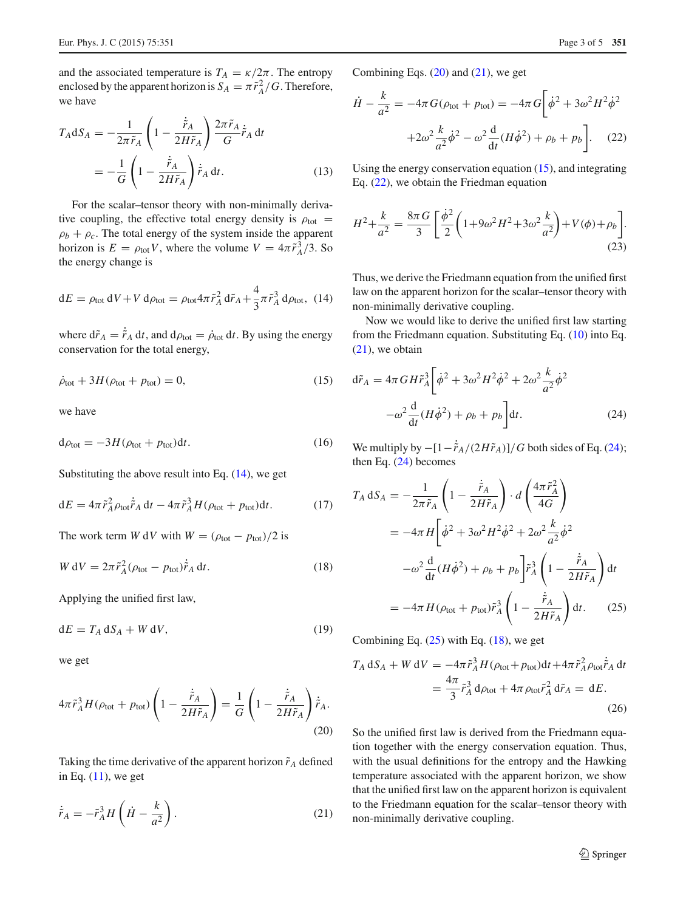and the associated temperature is  $T_A = \kappa/2\pi$ . The entropy enclosed by the apparent horizon is  $S_A = \pi \tilde{r}_A^2/G$ . Therefore, we have

$$
T_A \, \mathrm{d}S_A = -\frac{1}{2\pi \tilde{r}_A} \left( 1 - \frac{\dot{\tilde{r}}_A}{2H\tilde{r}_A} \right) \frac{2\pi \tilde{r}_A}{G} \dot{\tilde{r}}_A \, \mathrm{d}t
$$
\n
$$
= -\frac{1}{G} \left( 1 - \frac{\dot{\tilde{r}}_A}{2H\tilde{r}_A} \right) \dot{\tilde{r}}_A \, \mathrm{d}t. \tag{13}
$$

For the scalar–tensor theory with non-minimally derivative coupling, the effective total energy density is  $\rho_{\text{tot}} =$  $\rho_b + \rho_c$ . The total energy of the system inside the apparent horizon is  $E = \rho_{\text{tot}} V$ , where the volume  $V = 4\pi \tilde{r}_A^3/3$ . So the energy change is

<span id="page-2-0"></span>
$$
dE = \rho_{\text{tot}} dV + V d\rho_{\text{tot}} = \rho_{\text{tot}} 4\pi \tilde{r}_A^2 d\tilde{r}_A + \frac{4}{3} \pi \tilde{r}_A^3 d\rho_{\text{tot}}, \quad (14)
$$

where  $d\tilde{r}_A = \tilde{r}_A dt$ , and  $d\rho_{tot} = \dot{\rho}_{tot} dt$ . By using the energy conservation for the total energy,

$$
\dot{\rho}_{\text{tot}} + 3H(\rho_{\text{tot}} + p_{\text{tot}}) = 0,\tag{15}
$$

we have

$$
d\rho_{\text{tot}} = -3H(\rho_{\text{tot}} + p_{\text{tot}})dt. \tag{16}
$$

Substituting the above result into Eq.  $(14)$ , we get

$$
dE = 4\pi \tilde{r}_A^2 \rho_{\text{tot}} \dot{\tilde{r}}_A dt - 4\pi \tilde{r}_A^3 H (\rho_{\text{tot}} + p_{\text{tot}}) dt. \tag{17}
$$

The work term *W* d*V* with  $W = (\rho_{tot} - p_{tot})/2$  is

$$
W dV = 2\pi \tilde{r}_A^2 (\rho_{\text{tot}} - p_{\text{tot}}) \dot{\tilde{r}}_A dt.
$$
 (18)

Applying the unified first law,

$$
dE = T_A dS_A + W dV, \tag{19}
$$

<span id="page-2-1"></span>we get

$$
4\pi \tilde{r}_A^3 H(\rho_{\text{tot}} + p_{\text{tot}}) \left( 1 - \frac{\dot{\tilde{r}}_A}{2H\tilde{r}_A} \right) = \frac{1}{G} \left( 1 - \frac{\dot{\tilde{r}}_A}{2H\tilde{r}_A} \right) \dot{\tilde{r}}_A.
$$
\n(20)

<span id="page-2-2"></span>Taking the time derivative of the apparent horizon  $\tilde{r}_A$  defined in Eq.  $(11)$ , we get

$$
\dot{\tilde{r}}_A = -\tilde{r}_A^3 H \left( \dot{H} - \frac{k}{a^2} \right). \tag{21}
$$

Combining Eqs.  $(20)$  and  $(21)$ , we get

<span id="page-2-4"></span>
$$
\dot{H} - \frac{k}{a^2} = -4\pi G(\rho_{\text{tot}} + p_{\text{tot}}) = -4\pi G \left[ \dot{\phi}^2 + 3\omega^2 H^2 \dot{\phi}^2 + 2\omega^2 \frac{k}{a^2} \dot{\phi}^2 - \omega^2 \frac{d}{dt} (H \dot{\phi}^2) + \rho_b + p_b \right].
$$
 (22)

Using the energy conservation equation [\(15\)](#page-2-3), and integrating Eq. [\(22\)](#page-2-4), we obtain the Friedman equation

$$
H^{2} + \frac{k}{a^{2}} = \frac{8\pi G}{3} \left[ \frac{\dot{\phi}^{2}}{2} \left( 1 + 9\omega^{2} H^{2} + 3\omega^{2} \frac{k}{a^{2}} \right) + V(\phi) + \rho_{b} \right].
$$
\n(23)

Thus, we derive the Friedmann equation from the unified first law on the apparent horizon for the scalar–tensor theory with non-minimally derivative coupling.

<span id="page-2-3"></span>Now we would like to derive the unified first law starting from the Friedmann equation. Substituting Eq. [\(10\)](#page-1-5) into Eq. [\(21\)](#page-2-2), we obtain

<span id="page-2-5"></span>
$$
d\tilde{r}_A = 4\pi G H \tilde{r}_A^3 \left[ \dot{\phi}^2 + 3\omega^2 H^2 \dot{\phi}^2 + 2\omega^2 \frac{k}{a^2} \dot{\phi}^2 -\omega^2 \frac{d}{dt} (H \dot{\phi}^2) + \rho_b + p_b \right] dt.
$$
 (24)

We multiply by  $-[1-\tilde{r}_A/(2H\tilde{r}_A)]/G$  both sides of Eq. [\(24\)](#page-2-5); then Eq. [\(24\)](#page-2-5) becomes

<span id="page-2-7"></span><span id="page-2-6"></span>
$$
T_A dS_A = -\frac{1}{2\pi \tilde{r}_A} \left( 1 - \frac{\dot{\tilde{r}}_A}{2H\tilde{r}_A} \right) \cdot d \left( \frac{4\pi \tilde{r}_A^2}{4G} \right)
$$
  

$$
= -4\pi H \left[ \dot{\phi}^2 + 3\omega^2 H^2 \dot{\phi}^2 + 2\omega^2 \frac{k}{a^2} \dot{\phi}^2 \right]
$$

$$
-\omega^2 \frac{d}{dt} (H\dot{\phi}^2) + \rho_b + p_b \left[ \tilde{r}_A^3 \left( 1 - \frac{\dot{\tilde{r}}_A}{2H\tilde{r}_A} \right) dt \right]
$$

$$
= -4\pi H (\rho_{\text{tot}} + p_{\text{tot}}) \tilde{r}_A^3 \left( 1 - \frac{\dot{\tilde{r}}_A}{2H\tilde{r}_A} \right) dt. \tag{25}
$$

Combining Eq.  $(25)$  with Eq.  $(18)$ , we get

$$
T_A dS_A + W dV = -4\pi \tilde{r}_A^3 H(\rho_{\text{tot}} + p_{\text{tot}})dt + 4\pi \tilde{r}_A^2 \rho_{\text{tot}} \dot{\tilde{r}}_A dt
$$
  
= 
$$
\frac{4\pi}{3} \tilde{r}_A^3 d\rho_{\text{tot}} + 4\pi \rho_{\text{tot}} \tilde{r}_A^2 d\tilde{r}_A = dE.
$$
 (26)

So the unified first law is derived from the Friedmann equation together with the energy conservation equation. Thus, with the usual definitions for the entropy and the Hawking temperature associated with the apparent horizon, we show that the unified first law on the apparent horizon is equivalent to the Friedmann equation for the scalar–tensor theory with non-minimally derivative coupling.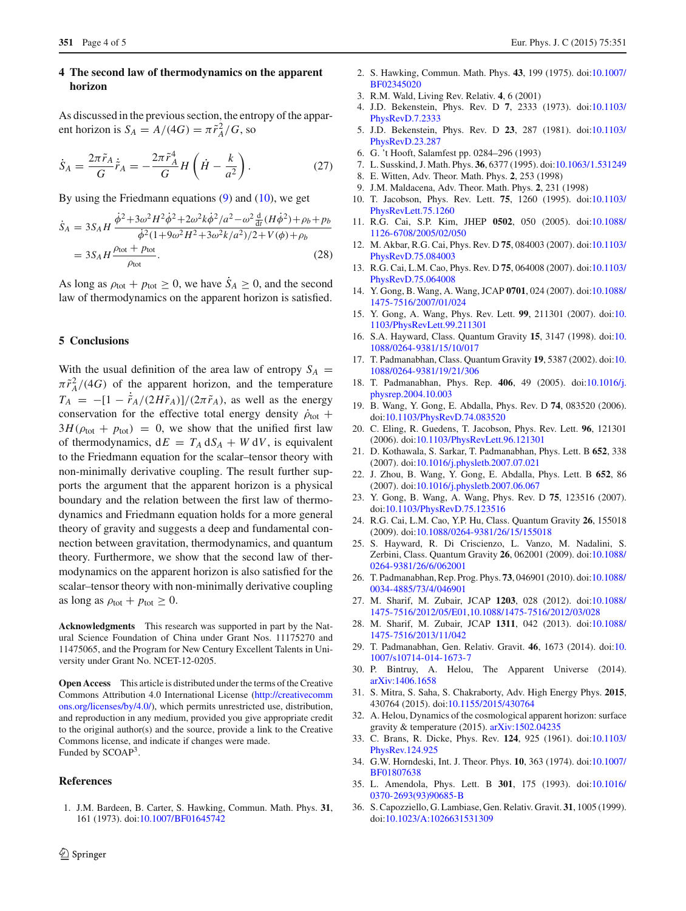#### <span id="page-3-14"></span>**4 The second law of thermodynamics on the apparent horizon**

As discussed in the previous section, the entropy of the apparent horizon is  $S_A = A/(4G) = \pi \tilde{r}_A^2/G$ , so

$$
\dot{S}_A = \frac{2\pi \tilde{r}_A}{G} \dot{\tilde{r}}_A = -\frac{2\pi \tilde{r}_A^4}{G} H\left(\dot{H} - \frac{k}{a^2}\right). \tag{27}
$$

By using the Friedmann equations  $(9)$  and  $(10)$ , we get

$$
\dot{S}_A = 3S_A H \frac{\dot{\phi}^2 + 3\omega^2 H^2 \dot{\phi}^2 + 2\omega^2 k \dot{\phi}^2 / a^2 - \omega^2 \frac{d}{dt} (H \dot{\phi}^2) + \rho_b + p_b}{\dot{\phi}^2 (1 + 9\omega^2 H^2 + 3\omega^2 k / a^2) / 2 + V(\phi) + \rho_b}
$$
  
=  $3S_A H \frac{\rho_{\text{tot}} + p_{\text{tot}}}{\rho_{\text{tot}}}$ . (28)

As long as  $\rho_{\text{tot}} + p_{\text{tot}} \ge 0$ , we have  $\dot{S}_A \ge 0$ , and the second law of thermodynamics on the apparent horizon is satisfied.

#### <span id="page-3-15"></span>**5 Conclusions**

With the usual definition of the area law of entropy  $S_A =$  $\pi \tilde{r}_A^2/(4G)$  of the apparent horizon, and the temperature  $T_A = -[1 - \tilde{r}_A/(2H\tilde{r}_A)]/(2\pi\tilde{r}_A)$ , as well as the energy conservation for the effective total energy density  $\rho_{\text{tot}}$  +  $3H(\rho_{\text{tot}} + p_{\text{tot}}) = 0$ , we show that the unified first law of thermodynamics,  $dE = T_A dS_A + W dV$ , is equivalent to the Friedmann equation for the scalar–tensor theory with non-minimally derivative coupling. The result further supports the argument that the apparent horizon is a physical boundary and the relation between the first law of thermodynamics and Friedmann equation holds for a more general theory of gravity and suggests a deep and fundamental connection between gravitation, thermodynamics, and quantum theory. Furthermore, we show that the second law of thermodynamics on the apparent horizon is also satisfied for the scalar–tensor theory with non-minimally derivative coupling as long as  $\rho_{\text{tot}} + p_{\text{tot}} \geq 0$ .

**Acknowledgments** This research was supported in part by the Natural Science Foundation of China under Grant Nos. 11175270 and 11475065, and the Program for New Century Excellent Talents in University under Grant No. NCET-12-0205.

**Open Access** This article is distributed under the terms of the Creative Commons Attribution 4.0 International License [\(http://creativecomm](http://creativecommons.org/licenses/by/4.0/) [ons.org/licenses/by/4.0/\)](http://creativecommons.org/licenses/by/4.0/), which permits unrestricted use, distribution, and reproduction in any medium, provided you give appropriate credit to the original author(s) and the source, provide a link to the Creative Commons license, and indicate if changes were made. Funded by SCOAP3.

#### <span id="page-3-0"></span>**References**

- <span id="page-3-1"></span>2. S. Hawking, Commun. Math. Phys. **43**, 199 (1975). doi[:10.1007/](http://dx.doi.org/10.1007/BF02345020) [BF02345020](http://dx.doi.org/10.1007/BF02345020)
- <span id="page-3-2"></span>3. R.M. Wald, Living Rev. Relativ. **4**, 6 (2001)
- <span id="page-3-3"></span>4. J.D. Bekenstein, Phys. Rev. D **7**, 2333 (1973). doi[:10.1103/](http://dx.doi.org/10.1103/PhysRevD.7.2333) [PhysRevD.7.2333](http://dx.doi.org/10.1103/PhysRevD.7.2333)
- <span id="page-3-4"></span>5. J.D. Bekenstein, Phys. Rev. D **23**, 287 (1981). doi[:10.1103/](http://dx.doi.org/10.1103/PhysRevD.23.287) [PhysRevD.23.287](http://dx.doi.org/10.1103/PhysRevD.23.287)
- <span id="page-3-5"></span>6. G. 't Hooft, Salamfest pp. 0284–296 (1993)
- 7. L. Susskind, J. Math. Phys. **36**, 6377 (1995). doi[:10.1063/1.531249](http://dx.doi.org/10.1063/1.531249)
- <span id="page-3-6"></span>8. E. Witten, Adv. Theor. Math. Phys. **2**, 253 (1998)
- <span id="page-3-7"></span>9. J.M. Maldacena, Adv. Theor. Math. Phys. **2**, 231 (1998)
- <span id="page-3-8"></span>10. T. Jacobson, Phys. Rev. Lett. **75**, 1260 (1995). doi[:10.1103/](http://dx.doi.org/10.1103/PhysRevLett.75.1260) [PhysRevLett.75.1260](http://dx.doi.org/10.1103/PhysRevLett.75.1260)
- <span id="page-3-9"></span>11. R.G. Cai, S.P. Kim, JHEP **0502**, 050 (2005). doi[:10.1088/](http://dx.doi.org/10.1088/1126-6708/2005/02/050) [1126-6708/2005/02/050](http://dx.doi.org/10.1088/1126-6708/2005/02/050)
- 12. M. Akbar, R.G. Cai, Phys. Rev. D **75**, 084003 (2007). doi[:10.1103/](http://dx.doi.org/10.1103/PhysRevD.75.084003) [PhysRevD.75.084003](http://dx.doi.org/10.1103/PhysRevD.75.084003)
- 13. R.G. Cai, L.M. Cao, Phys. Rev. D **75**, 064008 (2007). doi[:10.1103/](http://dx.doi.org/10.1103/PhysRevD.75.064008) [PhysRevD.75.064008](http://dx.doi.org/10.1103/PhysRevD.75.064008)
- 14. Y. Gong, B. Wang, A. Wang, JCAP **0701**, 024 (2007). doi[:10.1088/](http://dx.doi.org/10.1088/1475-7516/2007/01/024) [1475-7516/2007/01/024](http://dx.doi.org/10.1088/1475-7516/2007/01/024)
- <span id="page-3-10"></span>15. Y. Gong, A. Wang, Phys. Rev. Lett. **99**, 211301 (2007). doi[:10.](http://dx.doi.org/10.1103/PhysRevLett.99.211301) [1103/PhysRevLett.99.211301](http://dx.doi.org/10.1103/PhysRevLett.99.211301)
- <span id="page-3-16"></span>16. S.A. Hayward, Class. Quantum Gravity **15**, 3147 (1998). doi[:10.](http://dx.doi.org/10.1088/0264-9381/15/10/017) [1088/0264-9381/15/10/017](http://dx.doi.org/10.1088/0264-9381/15/10/017)
- 17. T. Padmanabhan, Class. Quantum Gravity **19**, 5387 (2002). doi[:10.](http://dx.doi.org/10.1088/0264-9381/19/21/306) [1088/0264-9381/19/21/306](http://dx.doi.org/10.1088/0264-9381/19/21/306)
- 18. T. Padmanabhan, Phys. Rep. **406**, 49 (2005). doi[:10.1016/j.](http://dx.doi.org/10.1016/j.physrep.2004.10.003) [physrep.2004.10.003](http://dx.doi.org/10.1016/j.physrep.2004.10.003)
- 19. B. Wang, Y. Gong, E. Abdalla, Phys. Rev. D **74**, 083520 (2006). doi[:10.1103/PhysRevD.74.083520](http://dx.doi.org/10.1103/PhysRevD.74.083520)
- 20. C. Eling, R. Guedens, T. Jacobson, Phys. Rev. Lett. **96**, 121301 (2006). doi[:10.1103/PhysRevLett.96.121301](http://dx.doi.org/10.1103/PhysRevLett.96.121301)
- 21. D. Kothawala, S. Sarkar, T. Padmanabhan, Phys. Lett. B **652**, 338 (2007). doi[:10.1016/j.physletb.2007.07.021](http://dx.doi.org/10.1016/j.physletb.2007.07.021)
- 22. J. Zhou, B. Wang, Y. Gong, E. Abdalla, Phys. Lett. B **652**, 86 (2007). doi[:10.1016/j.physletb.2007.06.067](http://dx.doi.org/10.1016/j.physletb.2007.06.067)
- 23. Y. Gong, B. Wang, A. Wang, Phys. Rev. D **75**, 123516 (2007). doi[:10.1103/PhysRevD.75.123516](http://dx.doi.org/10.1103/PhysRevD.75.123516)
- 24. R.G. Cai, L.M. Cao, Y.P. Hu, Class. Quantum Gravity **26**, 155018 (2009). doi[:10.1088/0264-9381/26/15/155018](http://dx.doi.org/10.1088/0264-9381/26/15/155018)
- 25. S. Hayward, R. Di Criscienzo, L. Vanzo, M. Nadalini, S. Zerbini, Class. Quantum Gravity **26**, 062001 (2009). doi[:10.1088/](http://dx.doi.org/10.1088/0264-9381/26/6/062001) [0264-9381/26/6/062001](http://dx.doi.org/10.1088/0264-9381/26/6/062001)
- 26. T. Padmanabhan, Rep. Prog. Phys. **73**, 046901 (2010). doi[:10.1088/](http://dx.doi.org/10.1088/0034-4885/73/4/046901) [0034-4885/73/4/046901](http://dx.doi.org/10.1088/0034-4885/73/4/046901)
- 27. M. Sharif, M. Zubair, JCAP **1203**, 028 (2012). doi[:10.1088/](http://dx.doi.org/10.1088/1475-7516/2012/05/E01) [1475-7516/2012/05/E01,](http://dx.doi.org/10.1088/1475-7516/2012/05/E01)[10.1088/1475-7516/2012/03/028](http://dx.doi.org/10.1088/1475-7516/2012/03/028)
- 28. M. Sharif, M. Zubair, JCAP **1311**, 042 (2013). doi[:10.1088/](http://dx.doi.org/10.1088/1475-7516/2013/11/042) [1475-7516/2013/11/042](http://dx.doi.org/10.1088/1475-7516/2013/11/042)
- 29. T. Padmanabhan, Gen. Relativ. Gravit. **46**, 1673 (2014). doi[:10.](http://dx.doi.org/10.1007/s10714-014-1673-7) [1007/s10714-014-1673-7](http://dx.doi.org/10.1007/s10714-014-1673-7)
- 30. P. Bintruy, A. Helou, The Apparent Universe (2014). [arXiv:1406.1658](http://arxiv.org/abs/1406.1658)
- 31. S. Mitra, S. Saha, S. Chakraborty, Adv. High Energy Phys. **2015**, 430764 (2015). doi[:10.1155/2015/430764](http://dx.doi.org/10.1155/2015/430764)
- <span id="page-3-11"></span>32. A. Helou, Dynamics of the cosmological apparent horizon: surface gravity & temperature (2015). [arXiv:1502.04235](http://arxiv.org/abs/1502.04235)
- <span id="page-3-12"></span>33. C. Brans, R. Dicke, Phys. Rev. **124**, 925 (1961). doi[:10.1103/](http://dx.doi.org/10.1103/PhysRev.124.925) [PhysRev.124.925](http://dx.doi.org/10.1103/PhysRev.124.925)
- <span id="page-3-13"></span>34. G.W. Horndeski, Int. J. Theor. Phys. **10**, 363 (1974). doi[:10.1007/](http://dx.doi.org/10.1007/BF01807638) [BF01807638](http://dx.doi.org/10.1007/BF01807638)
- 35. L. Amendola, Phys. Lett. B **301**, 175 (1993). doi[:10.1016/](http://dx.doi.org/10.1016/0370-2693(93)90685-B) [0370-2693\(93\)90685-B](http://dx.doi.org/10.1016/0370-2693(93)90685-B)
- 36. S. Capozziello, G. Lambiase, Gen. Relativ. Gravit. **31**, 1005 (1999). doi[:10.1023/A:1026631531309](http://dx.doi.org/10.1023/A:1026631531309)